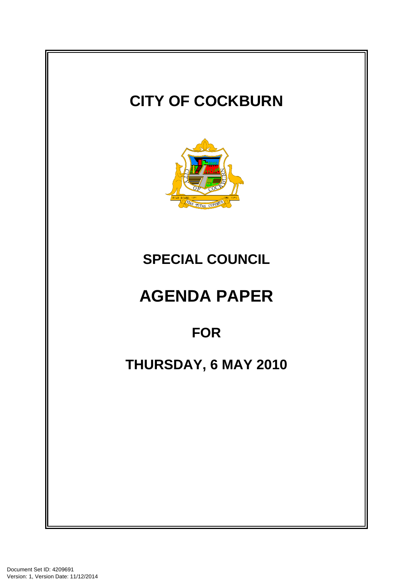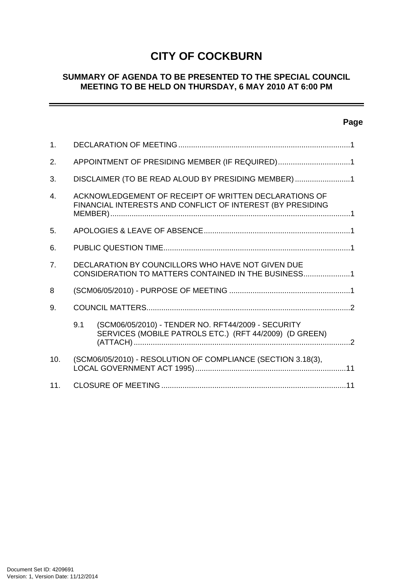# **CITY OF COCKBURN**

## **SUMMARY OF AGENDA TO BE PRESENTED TO THE SPECIAL COUNCIL MEETING TO BE HELD ON THURSDAY, 6 MAY 2010 AT 6:00 PM**

# **Page**

÷

| 1.             |                                                                                                                     |                                                                                                              |  |  |
|----------------|---------------------------------------------------------------------------------------------------------------------|--------------------------------------------------------------------------------------------------------------|--|--|
| 2.             | APPOINTMENT OF PRESIDING MEMBER (IF REQUIRED)1                                                                      |                                                                                                              |  |  |
| 3.             | DISCLAIMER (TO BE READ ALOUD BY PRESIDING MEMBER)1                                                                  |                                                                                                              |  |  |
| $\mathbf{4}$ . | ACKNOWLEDGEMENT OF RECEIPT OF WRITTEN DECLARATIONS OF<br>FINANCIAL INTERESTS AND CONFLICT OF INTEREST (BY PRESIDING |                                                                                                              |  |  |
| 5 <sub>1</sub> |                                                                                                                     |                                                                                                              |  |  |
| 6.             |                                                                                                                     |                                                                                                              |  |  |
| 7 <sub>1</sub> | DECLARATION BY COUNCILLORS WHO HAVE NOT GIVEN DUE<br>CONSIDERATION TO MATTERS CONTAINED IN THE BUSINESS1            |                                                                                                              |  |  |
| 8              |                                                                                                                     |                                                                                                              |  |  |
| 9.             |                                                                                                                     |                                                                                                              |  |  |
|                | 9.1                                                                                                                 | (SCM06/05/2010) - TENDER NO. RFT44/2009 - SECURITY<br>SERVICES (MOBILE PATROLS ETC.) (RFT 44/2009) (D GREEN) |  |  |
| 10.            |                                                                                                                     | (SCM06/05/2010) - RESOLUTION OF COMPLIANCE (SECTION 3.18(3),                                                 |  |  |
| 11.            |                                                                                                                     |                                                                                                              |  |  |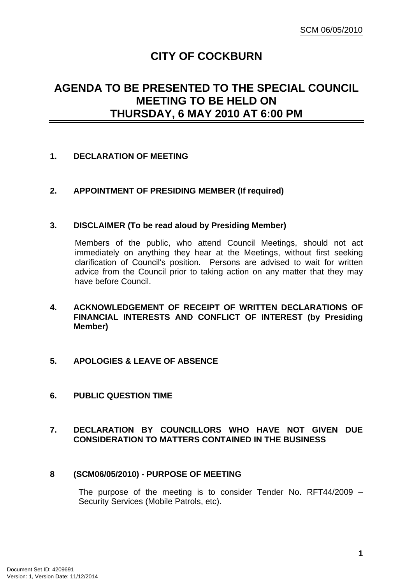# **CITY OF COCKBURN**

# <span id="page-2-0"></span>**AGENDA TO BE PRESENTED TO THE SPECIAL COUNCIL MEETING TO BE HELD ON THURSDAY, 6 MAY 2010 AT 6:00 PM**

## **1. DECLARATION OF MEETING**

## **2. APPOINTMENT OF PRESIDING MEMBER (If required)**

#### **3. DISCLAIMER (To be read aloud by Presiding Member)**

Members of the public, who attend Council Meetings, should not act immediately on anything they hear at the Meetings, without first seeking clarification of Council's position. Persons are advised to wait for written advice from the Council prior to taking action on any matter that they may have before Council.

- **4. ACKNOWLEDGEMENT OF RECEIPT OF WRITTEN DECLARATIONS OF FINANCIAL INTERESTS AND CONFLICT OF INTEREST (by Presiding Member)**
- **5. APOLOGIES & LEAVE OF ABSENCE**
- **6. PUBLIC QUESTION TIME**

## **7. DECLARATION BY COUNCILLORS WHO HAVE NOT GIVEN DUE CONSIDERATION TO MATTERS CONTAINED IN THE BUSINESS**

#### **8 (SCM06/05/2010) - PURPOSE OF MEETING**

The purpose of the meeting is to consider Tender No. RFT44/2009 – Security Services (Mobile Patrols, etc).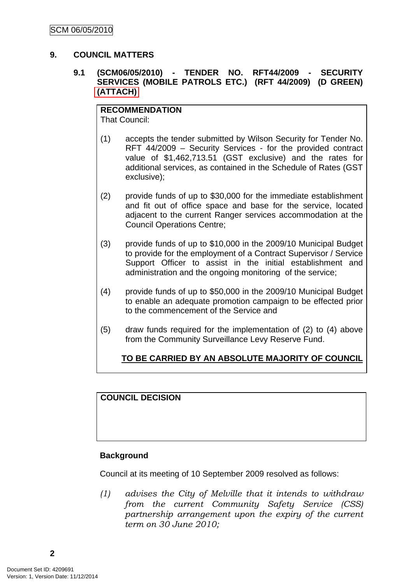### <span id="page-3-0"></span>**9. COUNCIL MATTERS**

## **9.1 (SCM06/05/2010) - TENDER NO. RFT44/2009 - SECURITY SERVICES (MOBILE PATROLS ETC.) (RFT 44/2009) (D GREEN) (ATTACH)**

**RECOMMENDATION** That Council:

- (1) accepts the tender submitted by Wilson Security for Tender No. RFT 44/2009 – Security Services - for the provided contract value of \$1,462,713.51 (GST exclusive) and the rates for additional services, as contained in the Schedule of Rates (GST exclusive);
- (2) provide funds of up to \$30,000 for the immediate establishment and fit out of office space and base for the service, located adjacent to the current Ranger services accommodation at the Council Operations Centre;
- (3) provide funds of up to \$10,000 in the 2009/10 Municipal Budget to provide for the employment of a Contract Supervisor / Service Support Officer to assist in the initial establishment and administration and the ongoing monitoring of the service;
- (4) provide funds of up to \$50,000 in the 2009/10 Municipal Budget to enable an adequate promotion campaign to be effected prior to the commencement of the Service and
- (5) draw funds required for the implementation of (2) to (4) above from the Community Surveillance Levy Reserve Fund.

# **TO BE CARRIED BY AN ABSOLUTE MAJORITY OF COUNCIL**

# **COUNCIL DECISION**

#### **Background**

Council at its meeting of 10 September 2009 resolved as follows:

*(1) advises the City of Melville that it intends to withdraw from the current Community Safety Service (CSS) partnership arrangement upon the expiry of the current term on 30 June 2010;* 

**2**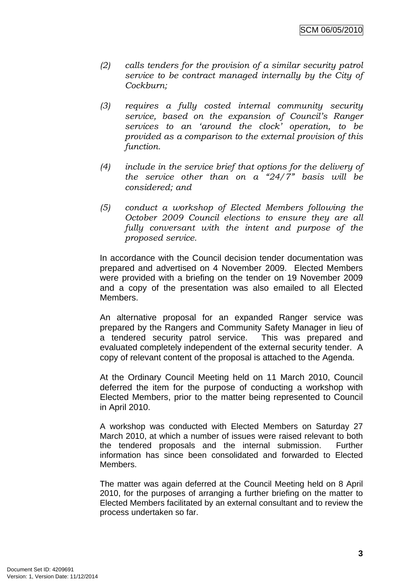- *(2) calls tenders for the provision of a similar security patrol service to be contract managed internally by the City of Cockburn;*
- *(3) requires a fully costed internal community security service, based on the expansion of Council's Ranger services to an 'around the clock' operation, to be provided as a comparison to the external provision of this function.*
- *(4) include in the service brief that options for the delivery of the service other than on a "24/7" basis will be considered; and*
- *(5) conduct a workshop of Elected Members following the October 2009 Council elections to ensure they are all fully conversant with the intent and purpose of the proposed service.*

In accordance with the Council decision tender documentation was prepared and advertised on 4 November 2009. Elected Members were provided with a briefing on the tender on 19 November 2009 and a copy of the presentation was also emailed to all Elected Members.

An alternative proposal for an expanded Ranger service was prepared by the Rangers and Community Safety Manager in lieu of a tendered security patrol service. This was prepared and evaluated completely independent of the external security tender. A copy of relevant content of the proposal is attached to the Agenda.

At the Ordinary Council Meeting held on 11 March 2010, Council deferred the item for the purpose of conducting a workshop with Elected Members, prior to the matter being represented to Council in April 2010.

A workshop was conducted with Elected Members on Saturday 27 March 2010, at which a number of issues were raised relevant to both the tendered proposals and the internal submission. Further information has since been consolidated and forwarded to Elected Members.

The matter was again deferred at the Council Meeting held on 8 April 2010, for the purposes of arranging a further briefing on the matter to Elected Members facilitated by an external consultant and to review the process undertaken so far.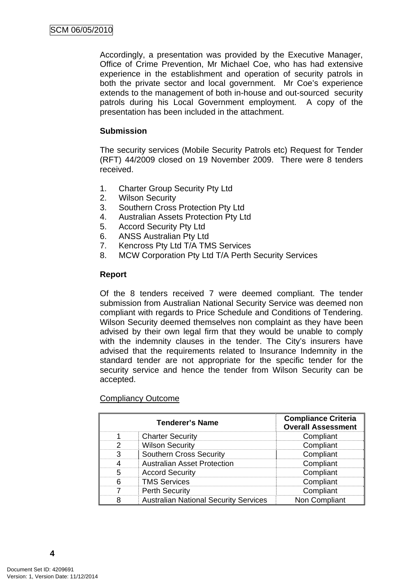Accordingly, a presentation was provided by the Executive Manager, Office of Crime Prevention, Mr Michael Coe, who has had extensive experience in the establishment and operation of security patrols in both the private sector and local government. Mr Coe's experience extends to the management of both in-house and out-sourced security patrols during his Local Government employment. A copy of the presentation has been included in the attachment.

#### **Submission**

The security services (Mobile Security Patrols etc) Request for Tender (RFT) 44/2009 closed on 19 November 2009. There were 8 tenders received.

- 1. Charter Group Security Pty Ltd
- 2. Wilson Security
- 3. Southern Cross Protection Pty Ltd
- 4. Australian Assets Protection Pty Ltd
- 5. Accord Security Pty Ltd
- 6. ANSS Australian Pty Ltd
- 7. Kencross Pty Ltd T/A TMS Services
- 8. MCW Corporation Pty Ltd T/A Perth Security Services

#### **Report**

Of the 8 tenders received 7 were deemed compliant. The tender submission from Australian National Security Service was deemed non compliant with regards to Price Schedule and Conditions of Tendering. Wilson Security deemed themselves non complaint as they have been advised by their own legal firm that they would be unable to comply with the indemnity clauses in the tender. The City's insurers have advised that the requirements related to Insurance Indemnity in the standard tender are not appropriate for the specific tender for the security service and hence the tender from Wilson Security can be accepted.

#### Compliancy Outcome

|   | <b>Tenderer's Name</b>                       | <b>Compliance Criteria</b><br><b>Overall Assessment</b> |
|---|----------------------------------------------|---------------------------------------------------------|
|   | <b>Charter Security</b>                      | Compliant                                               |
| 2 | <b>Wilson Security</b>                       | Compliant                                               |
| 3 | <b>Southern Cross Security</b>               | Compliant                                               |
|   | <b>Australian Asset Protection</b>           | Compliant                                               |
| 5 | <b>Accord Security</b>                       | Compliant                                               |
| 6 | <b>TMS Services</b>                          | Compliant                                               |
|   | <b>Perth Security</b>                        | Compliant                                               |
|   | <b>Australian National Security Services</b> | Non Compliant                                           |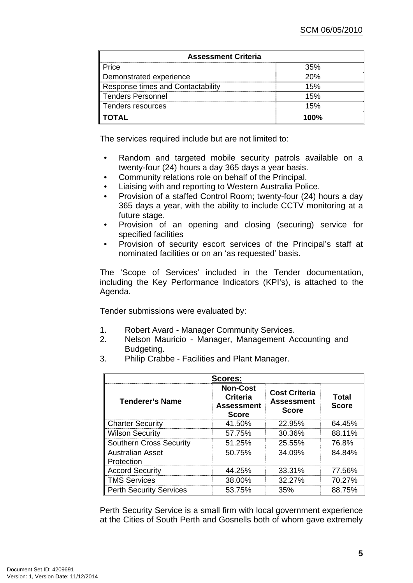| <b>Assessment Criteria</b>        |      |  |  |  |  |
|-----------------------------------|------|--|--|--|--|
| Price                             | 35%  |  |  |  |  |
| Demonstrated experience           | 20%  |  |  |  |  |
| Response times and Contactability | 15%  |  |  |  |  |
| <b>Tenders Personnel</b>          | 15%  |  |  |  |  |
| Tenders resources                 | 15%  |  |  |  |  |
| <b>TOTAL</b>                      | 1በበ% |  |  |  |  |

The services required include but are not limited to:

- Random and targeted mobile security patrols available on a twenty-four (24) hours a day 365 days a year basis.
- Community relations role on behalf of the Principal.
- Liaising with and reporting to Western Australia Police.
- Provision of a staffed Control Room; twenty-four (24) hours a day 365 days a year, with the ability to include CCTV monitoring at a future stage.
- Provision of an opening and closing (securing) service for specified facilities
- Provision of security escort services of the Principal's staff at nominated facilities or on an 'as requested' basis.

The 'Scope of Services' included in the Tender documentation, including the Key Performance Indicators (KPI's), is attached to the Agenda.

Tender submissions were evaluated by:

- 1. Robert Avard Manager Community Services.
- 2. Nelson Mauricio Manager, Management Accounting and Budgeting.
- 3. Philip Crabbe Facilities and Plant Manager.

| Scores:                               |                                                                         |                                                           |                       |  |  |  |  |
|---------------------------------------|-------------------------------------------------------------------------|-----------------------------------------------------------|-----------------------|--|--|--|--|
| <b>Tenderer's Name</b>                | <b>Non-Cost</b><br><b>Criteria</b><br><b>Assessment</b><br><b>Score</b> | <b>Cost Criteria</b><br><b>Assessment</b><br><b>Score</b> | Total<br><b>Score</b> |  |  |  |  |
| <b>Charter Security</b>               | 41.50%                                                                  | 22.95%                                                    | 64.45%                |  |  |  |  |
| <b>Wilson Security</b>                | 57.75%                                                                  | 30.36%                                                    | 88.11%                |  |  |  |  |
| <b>Southern Cross Security</b>        | 51.25%                                                                  | 25.55%                                                    | 76.8%                 |  |  |  |  |
| <b>Australian Asset</b><br>Protection | 50.75%                                                                  | 34.09%                                                    | 84.84%                |  |  |  |  |
| <b>Accord Security</b>                | 44.25%                                                                  | 33.31%                                                    | 77.56%                |  |  |  |  |
| <b>TMS Services</b>                   | 38.00%                                                                  | 32.27%                                                    | 70.27%                |  |  |  |  |
| <b>Perth Security Services</b>        | 53.75%                                                                  | 35%                                                       | 88.75%                |  |  |  |  |

Perth Security Service is a small firm with local government experience at the Cities of South Perth and Gosnells both of whom gave extremely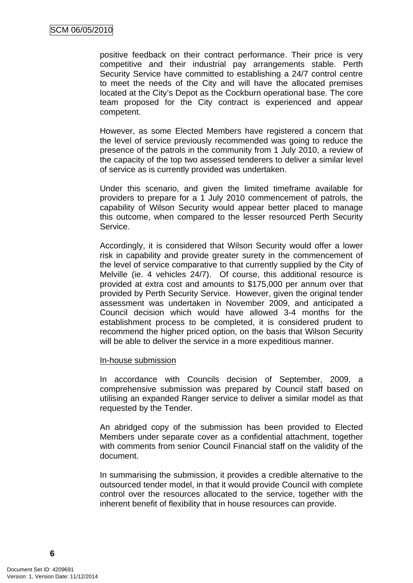positive feedback on their contract performance. Their price is very competitive and their industrial pay arrangements stable. Perth Security Service have committed to establishing a 24/7 control centre to meet the needs of the City and will have the allocated premises located at the City's Depot as the Cockburn operational base. The core team proposed for the City contract is experienced and appear competent.

However, as some Elected Members have registered a concern that the level of service previously recommended was going to reduce the presence of the patrols in the community from 1 July 2010, a review of the capacity of the top two assessed tenderers to deliver a similar level of service as is currently provided was undertaken.

Under this scenario, and given the limited timeframe available for providers to prepare for a 1 July 2010 commencement of patrols, the capability of Wilson Security would appear better placed to manage this outcome, when compared to the lesser resourced Perth Security Service.

Accordingly, it is considered that Wilson Security would offer a lower risk in capability and provide greater surety in the commencement of the level of service comparative to that currently supplied by the City of Melville (ie. 4 vehicles 24/7). Of course, this additional resource is provided at extra cost and amounts to \$175,000 per annum over that provided by Perth Security Service. However, given the original tender assessment was undertaken in November 2009, and anticipated a Council decision which would have allowed 3-4 months for the establishment process to be completed, it is considered prudent to recommend the higher priced option, on the basis that Wilson Security will be able to deliver the service in a more expeditious manner.

#### In-house submission

In accordance with Councils decision of September, 2009, a comprehensive submission was prepared by Council staff based on utilising an expanded Ranger service to deliver a similar model as that requested by the Tender.

An abridged copy of the submission has been provided to Elected Members under separate cover as a confidential attachment, together with comments from senior Council Financial staff on the validity of the document.

In summarising the submission, it provides a credible alternative to the outsourced tender model, in that it would provide Council with complete control over the resources allocated to the service, together with the inherent benefit of flexibility that in house resources can provide.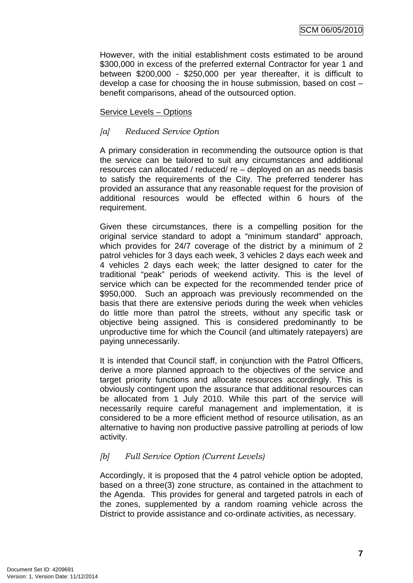However, with the initial establishment costs estimated to be around \$300,000 in excess of the preferred external Contractor for year 1 and between \$200,000 - \$250,000 per year thereafter, it is difficult to develop a case for choosing the in house submission, based on cost – benefit comparisons, ahead of the outsourced option.

## Service Levels – Options

## *[a] Reduced Service Option*

A primary consideration in recommending the outsource option is that the service can be tailored to suit any circumstances and additional resources can allocated / reduced/ re – deployed on an as needs basis to satisfy the requirements of the City. The preferred tenderer has provided an assurance that any reasonable request for the provision of additional resources would be effected within 6 hours of the requirement.

Given these circumstances, there is a compelling position for the original service standard to adopt a "minimum standard" approach, which provides for 24/7 coverage of the district by a minimum of 2 patrol vehicles for 3 days each week, 3 vehicles 2 days each week and 4 vehicles 2 days each week; the latter designed to cater for the traditional "peak" periods of weekend activity. This is the level of service which can be expected for the recommended tender price of \$950,000. Such an approach was previously recommended on the basis that there are extensive periods during the week when vehicles do little more than patrol the streets, without any specific task or objective being assigned. This is considered predominantly to be unproductive time for which the Council (and ultimately ratepayers) are paying unnecessarily.

It is intended that Council staff, in conjunction with the Patrol Officers, derive a more planned approach to the objectives of the service and target priority functions and allocate resources accordingly. This is obviously contingent upon the assurance that additional resources can be allocated from 1 July 2010. While this part of the service will necessarily require careful management and implementation, it is considered to be a more efficient method of resource utilisation, as an alternative to having non productive passive patrolling at periods of low activity.

# *[b] Full Service Option (Current Levels)*

Accordingly, it is proposed that the 4 patrol vehicle option be adopted, based on a three(3) zone structure, as contained in the attachment to the Agenda. This provides for general and targeted patrols in each of the zones, supplemented by a random roaming vehicle across the District to provide assistance and co-ordinate activities, as necessary.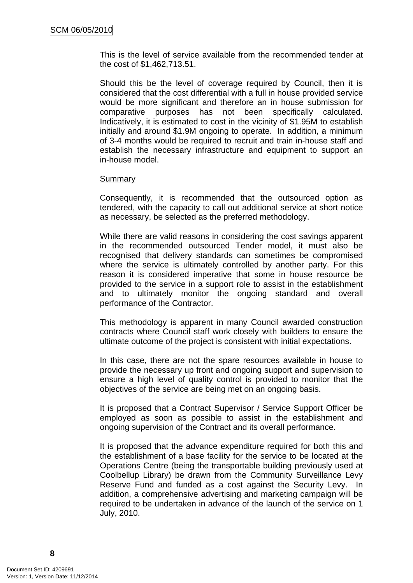This is the level of service available from the recommended tender at the cost of \$1,462,713.51.

Should this be the level of coverage required by Council, then it is considered that the cost differential with a full in house provided service would be more significant and therefore an in house submission for comparative purposes has not been specifically calculated. Indicatively, it is estimated to cost in the vicinity of \$1.95M to establish initially and around \$1.9M ongoing to operate. In addition, a minimum of 3-4 months would be required to recruit and train in-house staff and establish the necessary infrastructure and equipment to support an in-house model.

#### Summary

Consequently, it is recommended that the outsourced option as tendered, with the capacity to call out additional service at short notice as necessary, be selected as the preferred methodology.

While there are valid reasons in considering the cost savings apparent in the recommended outsourced Tender model, it must also be recognised that delivery standards can sometimes be compromised where the service is ultimately controlled by another party. For this reason it is considered imperative that some in house resource be provided to the service in a support role to assist in the establishment and to ultimately monitor the ongoing standard and overall performance of the Contractor.

This methodology is apparent in many Council awarded construction contracts where Council staff work closely with builders to ensure the ultimate outcome of the project is consistent with initial expectations.

In this case, there are not the spare resources available in house to provide the necessary up front and ongoing support and supervision to ensure a high level of quality control is provided to monitor that the objectives of the service are being met on an ongoing basis.

It is proposed that a Contract Supervisor / Service Support Officer be employed as soon as possible to assist in the establishment and ongoing supervision of the Contract and its overall performance.

It is proposed that the advance expenditure required for both this and the establishment of a base facility for the service to be located at the Operations Centre (being the transportable building previously used at Coolbellup Library) be drawn from the Community Surveillance Levy Reserve Fund and funded as a cost against the Security Levy. In addition, a comprehensive advertising and marketing campaign will be required to be undertaken in advance of the launch of the service on 1 July, 2010.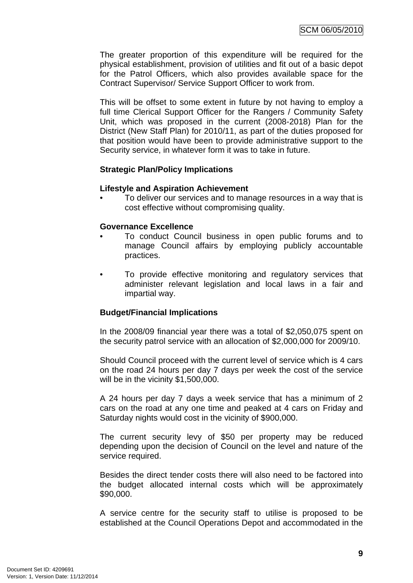The greater proportion of this expenditure will be required for the physical establishment, provision of utilities and fit out of a basic depot for the Patrol Officers, which also provides available space for the Contract Supervisor/ Service Support Officer to work from.

This will be offset to some extent in future by not having to employ a full time Clerical Support Officer for the Rangers / Community Safety Unit, which was proposed in the current (2008-2018) Plan for the District (New Staff Plan) for 2010/11, as part of the duties proposed for that position would have been to provide administrative support to the Security service, in whatever form it was to take in future.

#### **Strategic Plan/Policy Implications**

#### **Lifestyle and Aspiration Achievement**

• To deliver our services and to manage resources in a way that is cost effective without compromising quality.

#### **Governance Excellence**

- To conduct Council business in open public forums and to manage Council affairs by employing publicly accountable practices.
- To provide effective monitoring and regulatory services that administer relevant legislation and local laws in a fair and impartial way.

#### **Budget/Financial Implications**

In the 2008/09 financial year there was a total of \$2,050,075 spent on the security patrol service with an allocation of \$2,000,000 for 2009/10.

Should Council proceed with the current level of service which is 4 cars on the road 24 hours per day 7 days per week the cost of the service will be in the vicinity \$1,500,000.

A 24 hours per day 7 days a week service that has a minimum of 2 cars on the road at any one time and peaked at 4 cars on Friday and Saturday nights would cost in the vicinity of \$900,000.

The current security levy of \$50 per property may be reduced depending upon the decision of Council on the level and nature of the service required.

Besides the direct tender costs there will also need to be factored into the budget allocated internal costs which will be approximately \$90,000.

A service centre for the security staff to utilise is proposed to be established at the Council Operations Depot and accommodated in the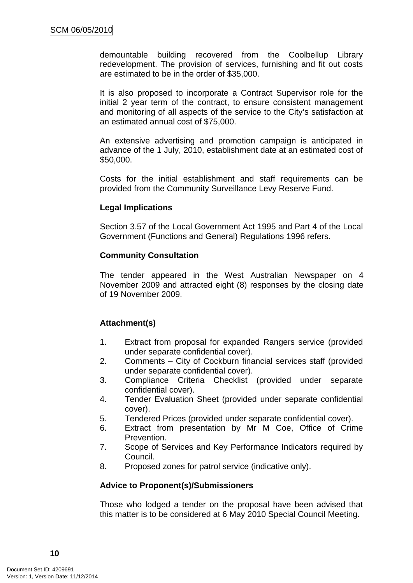demountable building recovered from the Coolbellup Library redevelopment. The provision of services, furnishing and fit out costs are estimated to be in the order of \$35,000.

It is also proposed to incorporate a Contract Supervisor role for the initial 2 year term of the contract, to ensure consistent management and monitoring of all aspects of the service to the City's satisfaction at an estimated annual cost of \$75,000.

An extensive advertising and promotion campaign is anticipated in advance of the 1 July, 2010, establishment date at an estimated cost of \$50,000.

Costs for the initial establishment and staff requirements can be provided from the Community Surveillance Levy Reserve Fund.

#### **Legal Implications**

Section 3.57 of the Local Government Act 1995 and Part 4 of the Local Government (Functions and General) Regulations 1996 refers.

#### **Community Consultation**

The tender appeared in the West Australian Newspaper on 4 November 2009 and attracted eight (8) responses by the closing date of 19 November 2009.

#### **Attachment(s)**

- 1. Extract from proposal for expanded Rangers service (provided under separate confidential cover).
- 2. Comments City of Cockburn financial services staff (provided under separate confidential cover).
- 3. Compliance Criteria Checklist (provided under separate confidential cover).
- 4. Tender Evaluation Sheet (provided under separate confidential cover).
- 5. Tendered Prices (provided under separate confidential cover).
- 6. Extract from presentation by Mr M Coe, Office of Crime Prevention.
- 7. Scope of Services and Key Performance Indicators required by Council.
- 8. Proposed zones for patrol service (indicative only).

#### **Advice to Proponent(s)/Submissioners**

Those who lodged a tender on the proposal have been advised that this matter is to be considered at 6 May 2010 Special Council Meeting.